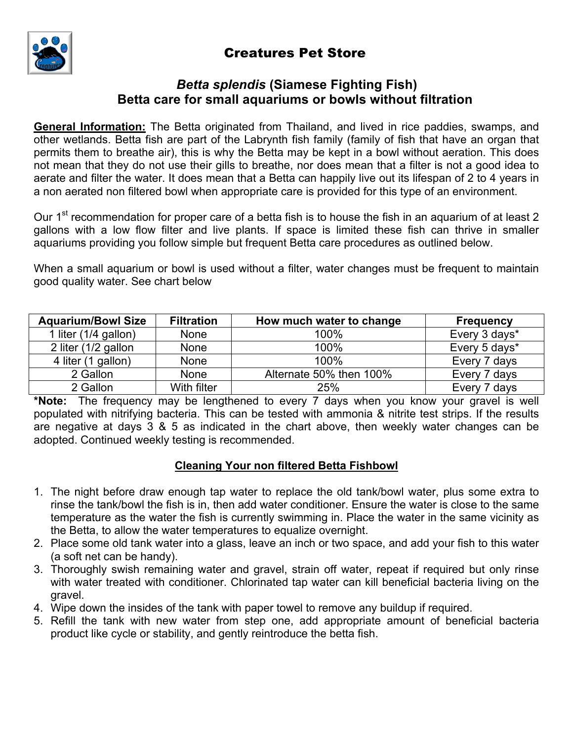# Creatures Pet Store



# *Betta splendis* **(Siamese Fighting Fish) Betta care for small aquariums or bowls without filtration**

**General Information:** The Betta originated from Thailand, and lived in rice paddies, swamps, and other wetlands. Betta fish are part of the Labrynth fish family (family of fish that have an organ that permits them to breathe air), this is why the Betta may be kept in a bowl without aeration. This does not mean that they do not use their gills to breathe, nor does mean that a filter is not a good idea to aerate and filter the water. It does mean that a Betta can happily live out its lifespan of 2 to 4 years in a non aerated non filtered bowl when appropriate care is provided for this type of an environment.

Our 1<sup>st</sup> recommendation for proper care of a betta fish is to house the fish in an aquarium of at least 2 gallons with a low flow filter and live plants. If space is limited these fish can thrive in smaller aquariums providing you follow simple but frequent Betta care procedures as outlined below.

When a small aquarium or bowl is used without a filter, water changes must be frequent to maintain good quality water. See chart below

| <b>Aguarium/Bowl Size</b> | <b>Filtration</b> | How much water to change | <b>Frequency</b> |
|---------------------------|-------------------|--------------------------|------------------|
| 1 liter (1/4 gallon)      | <b>None</b>       | 100%                     | Every 3 days*    |
| 2 liter (1/2 gallon       | <b>None</b>       | 100%                     | Every 5 days*    |
| 4 liter (1 gallon)        | <b>None</b>       | 100%                     | Every 7 days     |
| 2 Gallon                  | <b>None</b>       | Alternate 50% then 100%  | Every 7 days     |
| 2 Gallon                  | With filter       | 25%                      | Every 7 days     |

**\*Note:** The frequency may be lengthened to every 7 days when you know your gravel is well populated with nitrifying bacteria. This can be tested with ammonia & nitrite test strips. If the results are negative at days 3 & 5 as indicated in the chart above, then weekly water changes can be adopted. Continued weekly testing is recommended.

## **Cleaning Your non filtered Betta Fishbowl**

- 1. The night before draw enough tap water to replace the old tank/bowl water, plus some extra to rinse the tank/bowl the fish is in, then add water conditioner. Ensure the water is close to the same temperature as the water the fish is currently swimming in. Place the water in the same vicinity as the Betta, to allow the water temperatures to equalize overnight.
- 2. Place some old tank water into a glass, leave an inch or two space, and add your fish to this water (a soft net can be handy).
- 3. Thoroughly swish remaining water and gravel, strain off water, repeat if required but only rinse with water treated with conditioner. Chlorinated tap water can kill beneficial bacteria living on the gravel.
- 4. Wipe down the insides of the tank with paper towel to remove any buildup if required.
- 5. Refill the tank with new water from step one, add appropriate amount of beneficial bacteria product like cycle or stability, and gently reintroduce the betta fish.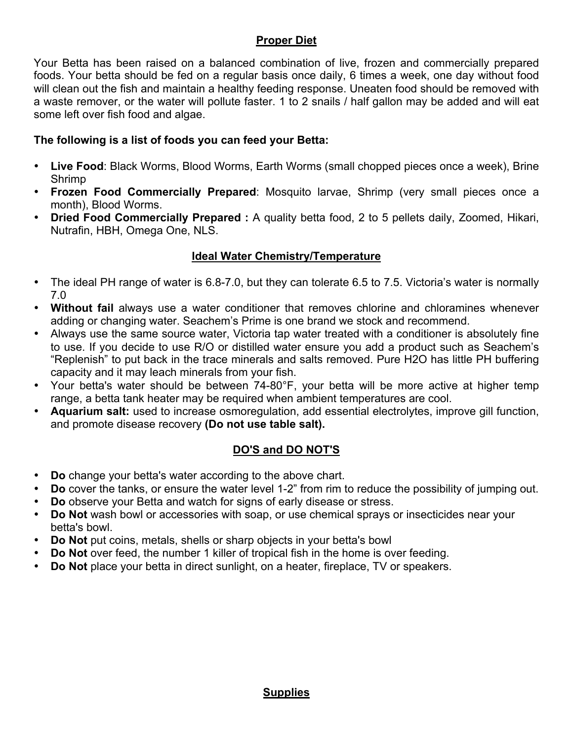## **Proper Diet**

Your Betta has been raised on a balanced combination of live, frozen and commercially prepared foods. Your betta should be fed on a regular basis once daily, 6 times a week, one day without food will clean out the fish and maintain a healthy feeding response. Uneaten food should be removed with a waste remover, or the water will pollute faster. 1 to 2 snails / half gallon may be added and will eat some left over fish food and algae.

## **The following is a list of foods you can feed your Betta:**

- **Live Food**: Black Worms, Blood Worms, Earth Worms (small chopped pieces once a week), Brine Shrimp
- **Frozen Food Commercially Prepared**: Mosquito larvae, Shrimp (very small pieces once a month), Blood Worms.
- **Dried Food Commercially Prepared :** A quality betta food, 2 to 5 pellets daily, Zoomed, Hikari, Nutrafin, HBH, Omega One, NLS.

# **Ideal Water Chemistry/Temperature**

- The ideal PH range of water is 6.8-7.0, but they can tolerate 6.5 to 7.5. Victoria's water is normally 7.0
- **Without fail** always use a water conditioner that removes chlorine and chloramines whenever adding or changing water. Seachem's Prime is one brand we stock and recommend.
- Always use the same source water, Victoria tap water treated with a conditioner is absolutely fine to use. If you decide to use R/O or distilled water ensure you add a product such as Seachem's "Replenish" to put back in the trace minerals and salts removed. Pure H2O has little PH buffering capacity and it may leach minerals from your fish.
- Your betta's water should be between 74-80°F, your betta will be more active at higher temp range, a betta tank heater may be required when ambient temperatures are cool.
- **Aquarium salt:** used to increase osmoregulation, add essential electrolytes, improve gill function, and promote disease recovery **(Do not use table salt).**

# **DO'S and DO NOT'S**

- **Do** change your betta's water according to the above chart.
- **Do** cover the tanks, or ensure the water level 1-2" from rim to reduce the possibility of jumping out.
- **Do** observe your Betta and watch for signs of early disease or stress.
- **Do Not** wash bowl or accessories with soap, or use chemical sprays or insecticides near your betta's bowl.
- **Do Not** put coins, metals, shells or sharp objects in your betta's bowl
- **Do Not** over feed, the number 1 killer of tropical fish in the home is over feeding.
- **Do Not** place your betta in direct sunlight, on a heater, fireplace, TV or speakers.

## **Supplies**